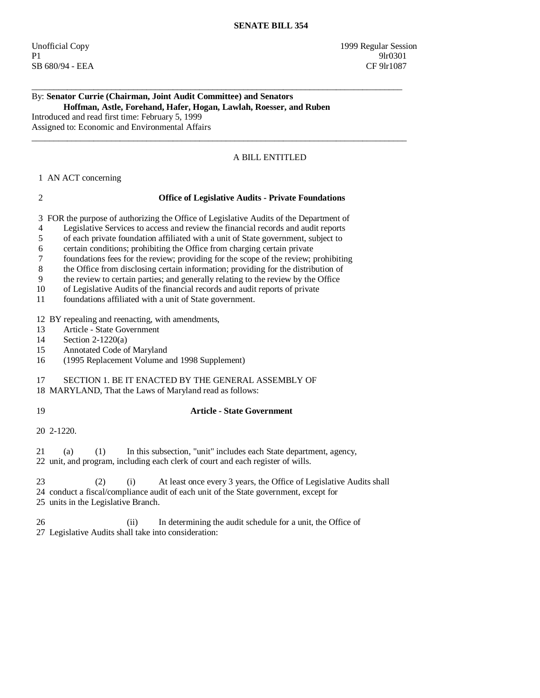Unofficial Copy 1999 Regular Session P1 9lr0301 SB 680/94 - EEA CF 9lr1087

### By: **Senator Currie (Chairman, Joint Audit Committee) and Senators Hoffman, Astle, Forehand, Hafer, Hogan, Lawlah, Roesser, and Ruben**

\_\_\_\_\_\_\_\_\_\_\_\_\_\_\_\_\_\_\_\_\_\_\_\_\_\_\_\_\_\_\_\_\_\_\_\_\_\_\_\_\_\_\_\_\_\_\_\_\_\_\_\_\_\_\_\_\_\_\_\_\_\_\_\_\_\_\_\_\_\_\_\_\_\_\_\_\_\_\_\_\_\_\_\_

 $\_$  ,  $\_$  ,  $\_$  ,  $\_$  ,  $\_$  ,  $\_$  ,  $\_$  ,  $\_$  ,  $\_$  ,  $\_$  ,  $\_$  ,  $\_$  ,  $\_$  ,  $\_$  ,  $\_$  ,  $\_$  ,  $\_$  ,  $\_$  ,  $\_$  ,  $\_$  ,  $\_$  ,  $\_$  ,  $\_$  ,  $\_$  ,  $\_$  ,  $\_$  ,  $\_$  ,  $\_$  ,  $\_$  ,  $\_$  ,  $\_$  ,  $\_$  ,  $\_$  ,  $\_$  ,  $\_$  ,  $\_$  ,  $\_$  ,

Introduced and read first time: February 5, 1999 Assigned to: Economic and Environmental Affairs

# A BILL ENTITLED

## 1 AN ACT concerning

### 2 **Office of Legislative Audits - Private Foundations**

3 FOR the purpose of authorizing the Office of Legislative Audits of the Department of

- 4 Legislative Services to access and review the financial records and audit reports
- 5 of each private foundation affiliated with a unit of State government, subject to
- 6 certain conditions; prohibiting the Office from charging certain private
- 7 foundations fees for the review; providing for the scope of the review; prohibiting
- 8 the Office from disclosing certain information; providing for the distribution of
- 9 the review to certain parties; and generally relating to the review by the Office
- 10 of Legislative Audits of the financial records and audit reports of private
- 11 foundations affiliated with a unit of State government.

12 BY repealing and reenacting, with amendments,

- 13 Article State Government
- 14 Section 2-1220(a)
- 15 Annotated Code of Maryland
- 16 (1995 Replacement Volume and 1998 Supplement)

# 17 SECTION 1. BE IT ENACTED BY THE GENERAL ASSEMBLY OF

18 MARYLAND, That the Laws of Maryland read as follows:

19 **Article - State Government** 

20 2-1220.

 21 (a) (1) In this subsection, "unit" includes each State department, agency, 22 unit, and program, including each clerk of court and each register of wills.

 23 (2) (i) At least once every 3 years, the Office of Legislative Audits shall 24 conduct a fiscal/compliance audit of each unit of the State government, except for

- 25 units in the Legislative Branch.
- 26 (ii) In determining the audit schedule for a unit, the Office of 27 Legislative Audits shall take into consideration: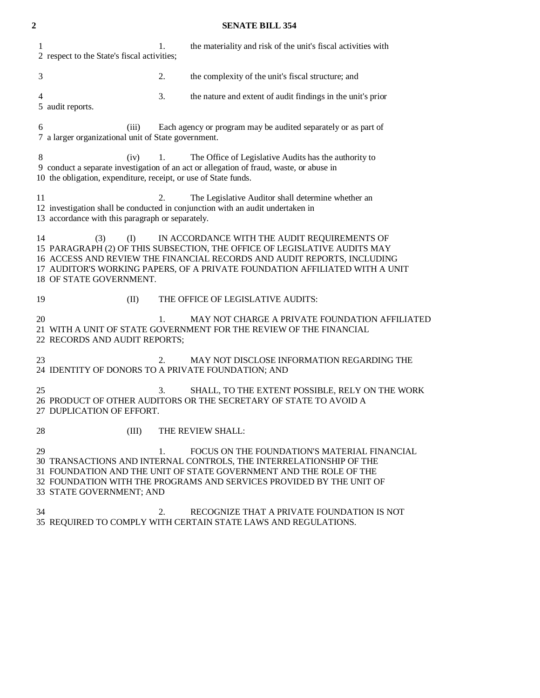# **2 SENATE BILL 354**

| 1<br>2 respect to the State's fiscal activities;                                                                                    | 1. | the materiality and risk of the unit's fiscal activities with                                                                                                                                                                                                                       |
|-------------------------------------------------------------------------------------------------------------------------------------|----|-------------------------------------------------------------------------------------------------------------------------------------------------------------------------------------------------------------------------------------------------------------------------------------|
| 3                                                                                                                                   | 2. | the complexity of the unit's fiscal structure; and                                                                                                                                                                                                                                  |
| 4<br>5 audit reports.                                                                                                               | 3. | the nature and extent of audit findings in the unit's prior                                                                                                                                                                                                                         |
| 6<br>Each agency or program may be audited separately or as part of<br>(iii)<br>7 a larger organizational unit of State government. |    |                                                                                                                                                                                                                                                                                     |
| 8<br>(iv)<br>10 the obligation, expenditure, receipt, or use of State funds.                                                        | 1. | The Office of Legislative Audits has the authority to<br>9 conduct a separate investigation of an act or allegation of fraud, waste, or abuse in                                                                                                                                    |
| 11<br>13 accordance with this paragraph or separately.                                                                              | 2. | The Legislative Auditor shall determine whether an<br>12 investigation shall be conducted in conjunction with an audit undertaken in                                                                                                                                                |
| 14<br>(3)<br>(I)<br>18 OF STATE GOVERNMENT.                                                                                         |    | IN ACCORDANCE WITH THE AUDIT REQUIREMENTS OF<br>15 PARAGRAPH (2) OF THIS SUBSECTION, THE OFFICE OF LEGISLATIVE AUDITS MAY<br>16 ACCESS AND REVIEW THE FINANCIAL RECORDS AND AUDIT REPORTS, INCLUDING<br>17 AUDITOR'S WORKING PAPERS, OF A PRIVATE FOUNDATION AFFILIATED WITH A UNIT |
| 19<br>(II)                                                                                                                          |    | THE OFFICE OF LEGISLATIVE AUDITS:                                                                                                                                                                                                                                                   |
| 20<br>22 RECORDS AND AUDIT REPORTS;                                                                                                 | 1. | MAY NOT CHARGE A PRIVATE FOUNDATION AFFILIATED<br>21 WITH A UNIT OF STATE GOVERNMENT FOR THE REVIEW OF THE FINANCIAL                                                                                                                                                                |
| 23<br>24 IDENTITY OF DONORS TO A PRIVATE FOUNDATION; AND                                                                            | 2. | MAY NOT DISCLOSE INFORMATION REGARDING THE                                                                                                                                                                                                                                          |
| 25<br>27 DUPLICATION OF EFFORT.                                                                                                     | 3. | SHALL, TO THE EXTENT POSSIBLE, RELY ON THE WORK<br>26 PRODUCT OF OTHER AUDITORS OR THE SECRETARY OF STATE TO AVOID A                                                                                                                                                                |
| 28<br>(III)                                                                                                                         |    | THE REVIEW SHALL:                                                                                                                                                                                                                                                                   |
| 29<br>33 STATE GOVERNMENT; AND                                                                                                      | 1. | FOCUS ON THE FOUNDATION'S MATERIAL FINANCIAL<br>30 TRANSACTIONS AND INTERNAL CONTROLS, THE INTERRELATIONSHIP OF THE<br>31 FOUNDATION AND THE UNIT OF STATE GOVERNMENT AND THE ROLE OF THE<br>32 FOUNDATION WITH THE PROGRAMS AND SERVICES PROVIDED BY THE UNIT OF                   |
| 34                                                                                                                                  | 2. | RECOGNIZE THAT A PRIVATE FOUNDATION IS NOT<br>35 REQUIRED TO COMPLY WITH CERTAIN STATE LAWS AND REGULATIONS.                                                                                                                                                                        |